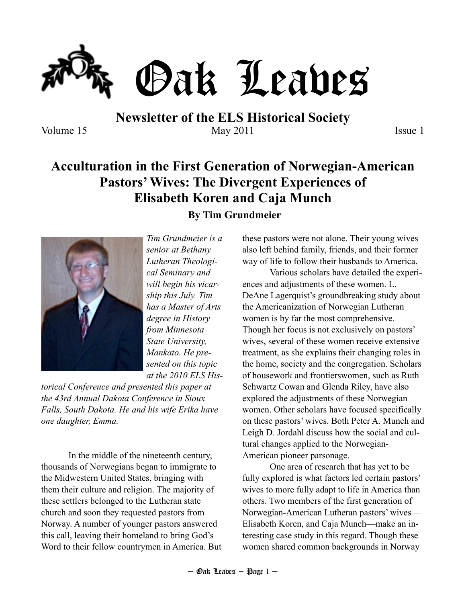

**Newsletter of the ELS Historical Society** Volume 15 May 2011 Issue 1

# **Acculturation in the First Generation of Norwegian-American Pastors' Wives: The Divergent Experiences of Elisabeth Koren and Caja Munch By Tim Grundmeier**



*Tim Grundmeier is a senior at Bethany Lutheran Theological Seminary and will begin his vicarship this July. Tim has a Master of Arts degree in History from Minnesota State University, Mankato. He presented on this topic at the 2010 ELS His-*

*torical Conference and presented this paper at the 43rd Annual Dakota Conference in Sioux Falls, South Dakota. He and his wife Erika have one daughter, Emma.*

In the middle of the nineteenth century, thousands of Norwegians began to immigrate to the Midwestern United States, bringing with them their culture and religion. The majority of these settlers belonged to the Lutheran state church and soon they requested pastors from Norway. A number of younger pastors answered this call, leaving their homeland to bring God's Word to their fellow countrymen in America. But these pastors were not alone. Their young wives also left behind family, friends, and their former

way of life to follow their husbands to America.

Various scholars have detailed the experiences and adjustments of these women. L. DeAne Lagerquist's groundbreaking study about the Americanization of Norwegian Lutheran women is by far the most comprehensive. Though her focus is not exclusively on pastors' wives, several of these women receive extensive treatment, as she explains their changing roles in the home, society and the congregation. Scholars of housework and frontierswomen, such as Ruth Schwartz Cowan and Glenda Riley, have also explored the adjustments of these Norwegian women. Other scholars have focused specifically on these pastors' wives. Both Peter A. Munch and Leigh D. Jordahl discuss how the social and cultural changes applied to the Norwegian-American pioneer parsonage.

One area of research that has yet to be fully explored is what factors led certain pastors' wives to more fully adapt to life in America than others. Two members of the first generation of Norwegian-American Lutheran pastors' wives— Elisabeth Koren, and Caja Munch—make an interesting case study in this regard. Though these women shared common backgrounds in Norway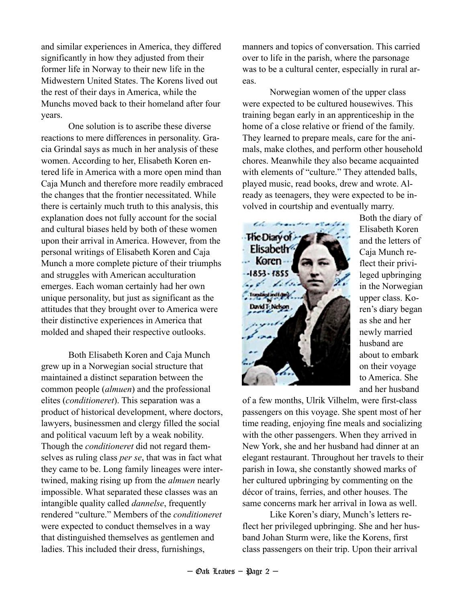and similar experiences in America, they differed significantly in how they adjusted from their former life in Norway to their new life in the Midwestern United States. The Korens lived out the rest of their days in America, while the Munchs moved back to their homeland after four years.

One solution is to ascribe these diverse reactions to mere differences in personality. Gracia Grindal says as much in her analysis of these women. According to her, Elisabeth Koren entered life in America with a more open mind than Caja Munch and therefore more readily embraced the changes that the frontier necessitated. While there is certainly much truth to this analysis, this explanation does not fully account for the social and cultural biases held by both of these women upon their arrival in America. However, from the personal writings of Elisabeth Koren and Caja Munch a more complete picture of their triumphs and struggles with American acculturation emerges. Each woman certainly had her own unique personality, but just as significant as the attitudes that they brought over to America were their distinctive experiences in America that molded and shaped their respective outlooks.

Both Elisabeth Koren and Caja Munch grew up in a Norwegian social structure that maintained a distinct separation between the common people (*almuen*) and the professional elites (*conditioneret*). This separation was a product of historical development, where doctors, lawyers, businessmen and clergy filled the social and political vacuum left by a weak nobility. Though the *conditioneret* did not regard themselves as ruling class *per se*, that was in fact what they came to be. Long family lineages were intertwined, making rising up from the *almuen* nearly impossible. What separated these classes was an intangible quality called *dannelse*, frequently rendered "culture." Members of the *conditioneret* were expected to conduct themselves in a way that distinguished themselves as gentlemen and ladies. This included their dress, furnishings,

manners and topics of conversation. This carried over to life in the parish, where the parsonage was to be a cultural center, especially in rural areas.

Norwegian women of the upper class were expected to be cultured housewives. This training began early in an apprenticeship in the home of a close relative or friend of the family. They learned to prepare meals, care for the animals, make clothes, and perform other household chores. Meanwhile they also became acquainted with elements of "culture." They attended balls, played music, read books, drew and wrote. Already as teenagers, they were expected to be involved in courtship and eventually marry.



Both the diary of Elisabeth Koren and the letters of Caja Munch reflect their privileged upbringing in the Norwegian upper class. Koren's diary began as she and her newly married husband are about to embark on their voyage to America. She and her husband

of a few months, Ulrik Vilhelm, were first-class passengers on this voyage. She spent most of her time reading, enjoying fine meals and socializing with the other passengers. When they arrived in New York, she and her husband had dinner at an elegant restaurant. Throughout her travels to their parish in Iowa, she constantly showed marks of her cultured upbringing by commenting on the décor of trains, ferries, and other houses. The same concerns mark her arrival in Iowa as well.

Like Koren's diary, Munch's letters reflect her privileged upbringing. She and her husband Johan Sturm were, like the Korens, first class passengers on their trip. Upon their arrival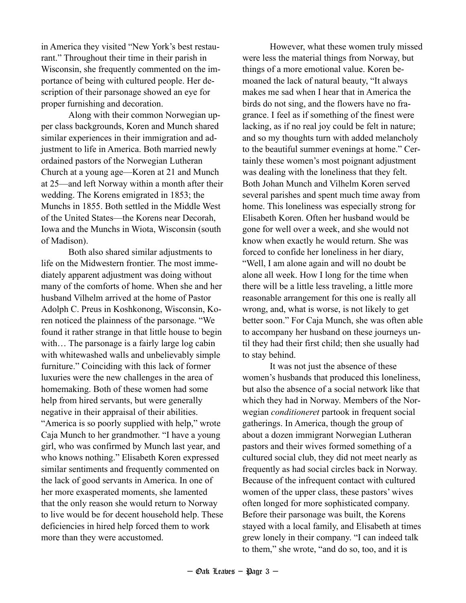in America they visited "New York's best restaurant." Throughout their time in their parish in Wisconsin, she frequently commented on the importance of being with cultured people. Her description of their parsonage showed an eye for proper furnishing and decoration.

Along with their common Norwegian upper class backgrounds, Koren and Munch shared similar experiences in their immigration and adjustment to life in America. Both married newly ordained pastors of the Norwegian Lutheran Church at a young age—Koren at 21 and Munch at 25—and left Norway within a month after their wedding. The Korens emigrated in 1853; the Munchs in 1855. Both settled in the Middle West of the United States—the Korens near Decorah, Iowa and the Munchs in Wiota, Wisconsin (south of Madison).

Both also shared similar adjustments to life on the Midwestern frontier. The most immediately apparent adjustment was doing without many of the comforts of home. When she and her husband Vilhelm arrived at the home of Pastor Adolph C. Preus in Koshkonong, Wisconsin, Koren noticed the plainness of the parsonage. "We found it rather strange in that little house to begin with... The parsonage is a fairly large log cabin with whitewashed walls and unbelievably simple furniture." Coinciding with this lack of former luxuries were the new challenges in the area of homemaking. Both of these women had some help from hired servants, but were generally negative in their appraisal of their abilities. "America is so poorly supplied with help," wrote Caja Munch to her grandmother. "I have a young girl, who was confirmed by Munch last year, and who knows nothing." Elisabeth Koren expressed similar sentiments and frequently commented on the lack of good servants in America. In one of her more exasperated moments, she lamented that the only reason she would return to Norway to live would be for decent household help. These deficiencies in hired help forced them to work more than they were accustomed.

However, what these women truly missed were less the material things from Norway, but things of a more emotional value. Koren bemoaned the lack of natural beauty, "It always makes me sad when I hear that in America the birds do not sing, and the flowers have no fragrance. I feel as if something of the finest were lacking, as if no real joy could be felt in nature; and so my thoughts turn with added melancholy to the beautiful summer evenings at home." Certainly these women's most poignant adjustment was dealing with the loneliness that they felt. Both Johan Munch and Vilhelm Koren served several parishes and spent much time away from home. This loneliness was especially strong for Elisabeth Koren. Often her husband would be gone for well over a week, and she would not know when exactly he would return. She was forced to confide her loneliness in her diary, "Well, I am alone again and will no doubt be alone all week. How I long for the time when there will be a little less traveling, a little more reasonable arrangement for this one is really all wrong, and, what is worse, is not likely to get better soon." For Caja Munch, she was often able to accompany her husband on these journeys until they had their first child; then she usually had to stay behind.

It was not just the absence of these women's husbands that produced this loneliness, but also the absence of a social network like that which they had in Norway. Members of the Norwegian *conditioneret* partook in frequent social gatherings. In America, though the group of about a dozen immigrant Norwegian Lutheran pastors and their wives formed something of a cultured social club, they did not meet nearly as frequently as had social circles back in Norway. Because of the infrequent contact with cultured women of the upper class, these pastors' wives often longed for more sophisticated company. Before their parsonage was built, the Korens stayed with a local family, and Elisabeth at times grew lonely in their company. "I can indeed talk to them," she wrote, "and do so, too, and it is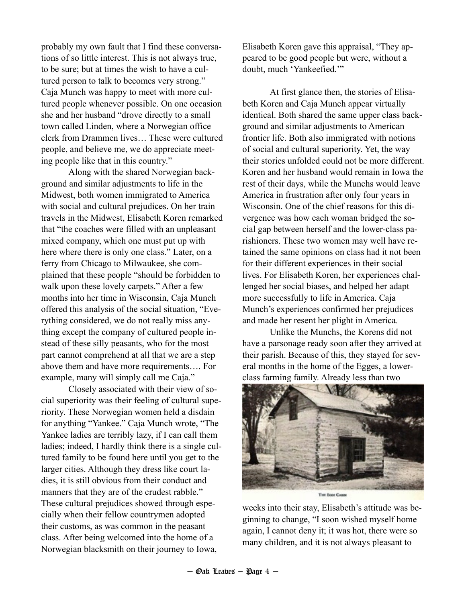probably my own fault that I find these conversations of so little interest. This is not always true, to be sure; but at times the wish to have a cultured person to talk to becomes very strong." Caja Munch was happy to meet with more cultured people whenever possible. On one occasion she and her husband "drove directly to a small town called Linden, where a Norwegian office clerk from Drammen lives… These were cultured people, and believe me, we do appreciate meeting people like that in this country."

Along with the shared Norwegian background and similar adjustments to life in the Midwest, both women immigrated to America with social and cultural prejudices. On her train travels in the Midwest, Elisabeth Koren remarked that "the coaches were filled with an unpleasant mixed company, which one must put up with here where there is only one class." Later, on a ferry from Chicago to Milwaukee, she complained that these people "should be forbidden to walk upon these lovely carpets." After a few months into her time in Wisconsin, Caja Munch offered this analysis of the social situation, "Everything considered, we do not really miss anything except the company of cultured people instead of these silly peasants, who for the most part cannot comprehend at all that we are a step above them and have more requirements…. For example, many will simply call me Caja."

Closely associated with their view of social superiority was their feeling of cultural superiority. These Norwegian women held a disdain for anything "Yankee." Caja Munch wrote, "The Yankee ladies are terribly lazy, if I can call them ladies; indeed, I hardly think there is a single cultured family to be found here until you get to the larger cities. Although they dress like court ladies, it is still obvious from their conduct and manners that they are of the crudest rabble." These cultural prejudices showed through especially when their fellow countrymen adopted their customs, as was common in the peasant class. After being welcomed into the home of a Norwegian blacksmith on their journey to Iowa,

Elisabeth Koren gave this appraisal, "They appeared to be good people but were, without a doubt, much 'Yankeefied.'"

At first glance then, the stories of Elisabeth Koren and Caja Munch appear virtually identical. Both shared the same upper class background and similar adjustments to American frontier life. Both also immigrated with notions of social and cultural superiority. Yet, the way their stories unfolded could not be more different. Koren and her husband would remain in Iowa the rest of their days, while the Munchs would leave America in frustration after only four years in Wisconsin. One of the chief reasons for this divergence was how each woman bridged the social gap between herself and the lower-class parishioners. These two women may well have retained the same opinions on class had it not been for their different experiences in their social lives. For Elisabeth Koren, her experiences challenged her social biases, and helped her adapt more successfully to life in America. Caja Munch's experiences confirmed her prejudices and made her resent her plight in America.

Unlike the Munchs, the Korens did not have a parsonage ready soon after they arrived at their parish. Because of this, they stayed for several months in the home of the Egges, a lowerclass farming family. Already less than two



weeks into their stay, Elisabeth's attitude was beginning to change, "I soon wished myself home again, I cannot deny it; it was hot, there were so many children, and it is not always pleasant to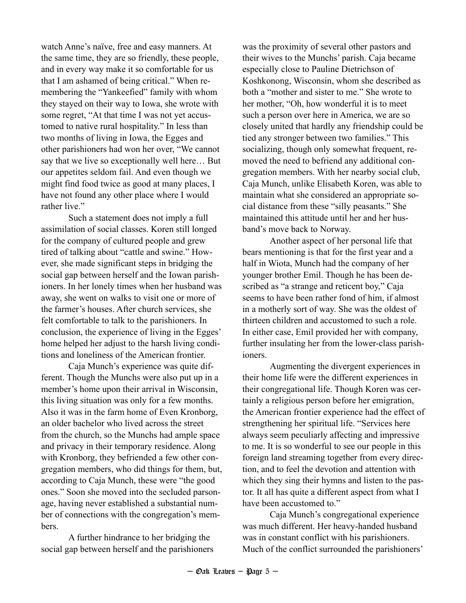watch Anne's naïve, free and easy manners. At the same time, they are so friendly, these people, and in every way make it so comfortable for us that I am ashamed of being critical." When remembering the "Yankeefied" family with whom they stayed on their way to Iowa, she wrote with some regret, "At that time I was not yet accustomed to native rural hospitality." In less than two months of living in Iowa, the Egges and other parishioners had won her over, "We cannot say that we live so exceptionally well here… But our appetites seldom fail. And even though we might find food twice as good at many places, I have not found any other place where I would rather live."

Such a statement does not imply a full assimilation of social classes. Koren still longed for the company of cultured people and grew tired of talking about "cattle and swine." However, she made significant steps in bridging the social gap between herself and the Iowan parishioners. In her lonely times when her husband was away, she went on walks to visit one or more of the farmer's houses. After church services, she felt comfortable to talk to the parishioners. In conclusion, the experience of living in the Egges' home helped her adjust to the harsh living conditions and loneliness of the American frontier.

Caja Munch's experience was quite different. Though the Munchs were also put up in a member's home upon their arrival in Wisconsin, this living situation was only for a few months. Also it was in the farm home of Even Kronborg, an older bachelor who lived across the street from the church, so the Munchs had ample space and privacy in their temporary residence. Along with Kronborg, they befriended a few other congregation members, who did things for them, but, according to Caja Munch, these were "the good ones." Soon she moved into the secluded parsonage, having never established a substantial number of connections with the congregation's members.

A further hindrance to her bridging the social gap between herself and the parishioners was the proximity of several other pastors and their wives to the Munchs' parish. Caja became especially close to Pauline Dietrichson of Koshkonong, Wisconsin, whom she described as both a "mother and sister to me." She wrote to her mother, "Oh, how wonderful it is to meet such a person over here in America, we are so closely united that hardly any friendship could be tied any stronger between two families." This socializing, though only somewhat frequent, removed the need to befriend any additional congregation members. With her nearby social club, Caja Munch, unlike Elisabeth Koren, was able to maintain what she considered an appropriate social distance from these "silly peasants." She maintained this attitude until her and her husband's move back to Norway.

Another aspect of her personal life that bears mentioning is that for the first year and a half in Wiota, Munch had the company of her younger brother Emil. Though he has been described as "a strange and reticent boy," Caja seems to have been rather fond of him, if almost in a motherly sort of way. She was the oldest of thirteen children and accustomed to such a role. In either case, Emil provided her with company, further insulating her from the lower-class parishioners.

Augmenting the divergent experiences in their home life were the different experiences in their congregational life. Though Koren was certainly a religious person before her emigration, the American frontier experience had the effect of strengthening her spiritual life. "Services here always seem peculiarly affecting and impressive to me. It is so wonderful to see our people in this foreign land streaming together from every direction, and to feel the devotion and attention with which they sing their hymns and listen to the pastor. It all has quite a different aspect from what I have been accustomed to."

Caja Munch's congregational experience was much different. Her heavy-handed husband was in constant conflict with his parishioners. Much of the conflict surrounded the parishioners'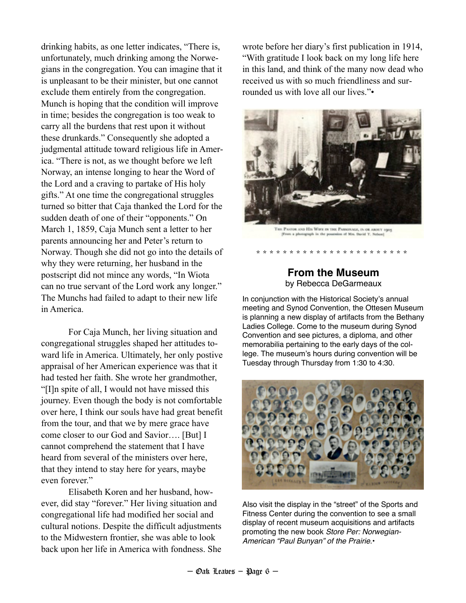drinking habits, as one letter indicates, "There is, unfortunately, much drinking among the Norwegians in the congregation. You can imagine that it is unpleasant to be their minister, but one cannot exclude them entirely from the congregation. Munch is hoping that the condition will improve in time; besides the congregation is too weak to carry all the burdens that rest upon it without these drunkards." Consequently she adopted a judgmental attitude toward religious life in America. "There is not, as we thought before we left Norway, an intense longing to hear the Word of the Lord and a craving to partake of His holy gifts." At one time the congregational struggles turned so bitter that Caja thanked the Lord for the sudden death of one of their "opponents." On March 1, 1859, Caja Munch sent a letter to her parents announcing her and Peter's return to Norway. Though she did not go into the details of why they were returning, her husband in the postscript did not mince any words, "In Wiota can no true servant of the Lord work any longer." The Munchs had failed to adapt to their new life in America.

For Caja Munch, her living situation and congregational struggles shaped her attitudes toward life in America. Ultimately, her only postive appraisal of her American experience was that it had tested her faith. She wrote her grandmother, "[I]n spite of all, I would not have missed this journey. Even though the body is not comfortable over here, I think our souls have had great benefit from the tour, and that we by mere grace have come closer to our God and Savior…. [But] I cannot comprehend the statement that I have heard from several of the ministers over here, that they intend to stay here for years, maybe even forever."

Elisabeth Koren and her husband, however, did stay "forever." Her living situation and congregational life had modified her social and cultural notions. Despite the difficult adjustments to the Midwestern frontier, she was able to look back upon her life in America with fondness. She wrote before her diary's first publication in 1914, "With gratitude I look back on my long life here in this land, and think of the many now dead who received us with so much friendliness and surrounded us with love all our lives."•



THE PACEOR AND HIS WIFE IN THE PARKONAGE, IN OR ABOUT 1903 (From a photograph in the possession of Mrs. David T. Nebon)

\* \* \* \* \* \* \* \* \* \* \* \* \* \* \* \* \* \* \* \* \* \* \*

## **From the Museum** by Rebecca DeGarmeaux

In conjunction with the Historical Society's annual meeting and Synod Convention, the Ottesen Museum is planning a new display of artifacts from the Bethany Ladies College. Come to the museum during Synod Convention and see pictures, a diploma, and other memorabilia pertaining to the early days of the college. The museum's hours during convention will be Tuesday through Thursday from 1:30 to 4:30.



Also visit the display in the "street" of the Sports and Fitness Center during the convention to see a small display of recent museum acquisitions and artifacts promoting the new book *Store Per: Norwegian-American "Paul Bunyan" of the Prairie*.•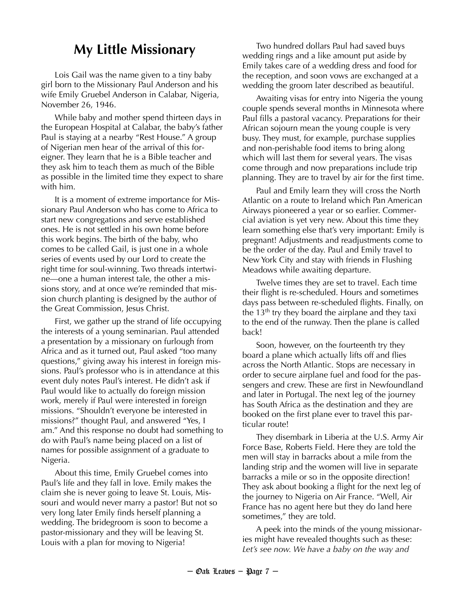# **My Little Missionary**

Lois Gail was the name given to a tiny baby girl born to the Missionary Paul Anderson and his wife Emily Gruebel Anderson in Calabar, Nigeria, November 26, 1946.

While baby and mother spend thirteen days in the European Hospital at Calabar, the baby's father Paul is staying at a nearby "Rest House." A group of Nigerian men hear of the arrival of this foreigner. They learn that he is a Bible teacher and they ask him to teach them as much of the Bible as possible in the limited time they expect to share with him.

It is a moment of extreme importance for Missionary Paul Anderson who has come to Africa to start new congregations and serve established ones. He is not settled in his own home before this work begins. The birth of the baby, who comes to be called Gail, is just one in a whole series of events used by our Lord to create the right time for soul-winning. Two threads intertwine—one a human interest tale, the other a missions story, and at once we're reminded that mission church planting is designed by the author of the Great Commission, Jesus Christ.

First, we gather up the strand of life occupying the interests of a young seminarian. Paul attended a presentation by a missionary on furlough from Africa and as it turned out, Paul asked "too many questions," giving away his interest in foreign missions. Paul's professor who is in attendance at this event duly notes Paul's interest. He didn't ask if Paul would like to actually do foreign mission work, merely if Paul were interested in foreign missions. "Shouldn't everyone be interested in missions?" thought Paul, and answered "Yes, I am." And this response no doubt had something to do with Paul's name being placed on a list of names for possible assignment of a graduate to Nigeria.

About this time, Emily Gruebel comes into Paul's life and they fall in love. Emily makes the claim she is never going to leave St. Louis, Missouri and would never marry a pastor! But not so very long later Emily finds herself planning a wedding. The bridegroom is soon to become a pastor-missionary and they will be leaving St. Louis with a plan for moving to Nigeria!

Two hundred dollars Paul had saved buys wedding rings and a like amount put aside by Emily takes care of a wedding dress and food for the reception, and soon vows are exchanged at a wedding the groom later described as beautiful.

Awaiting visas for entry into Nigeria the young couple spends several months in Minnesota where Paul fills a pastoral vacancy. Preparations for their African sojourn mean the young couple is very busy. They must, for example, purchase supplies and non-perishable food items to bring along which will last them for several years. The visas come through and now preparations include trip planning. They are to travel by air for the first time.

Paul and Emily learn they will cross the North Atlantic on a route to Ireland which Pan American Airways pioneered a year or so earlier. Commercial aviation is yet very new. About this time they learn something else that's very important: Emily is pregnant! Adjustments and readjustments come to be the order of the day. Paul and Emily travel to New York City and stay with friends in Flushing Meadows while awaiting departure.

Twelve times they are set to travel. Each time their flight is re-scheduled. Hours and sometimes days pass between re-scheduled flights. Finally, on the 13<sup>th</sup> try they board the airplane and they taxi to the end of the runway. Then the plane is called back!

Soon, however, on the fourteenth try they board a plane which actually lifts off and flies across the North Atlantic. Stops are necessary in order to secure airplane fuel and food for the passengers and crew. These are first in Newfoundland and later in Portugal. The next leg of the journey has South Africa as the destination and they are booked on the first plane ever to travel this particular route!

They disembark in Liberia at the U.S. Army Air Force Base, Roberts Field. Here they are told the men will stay in barracks about a mile from the landing strip and the women will live in separate barracks a mile or so in the opposite direction! They ask about booking a flight for the next leg of the journey to Nigeria on Air France. "Well, Air France has no agent here but they do land here sometimes," they are told.

A peek into the minds of the young missionaries might have revealed thoughts such as these: *Let's see now. We have a baby on the way and*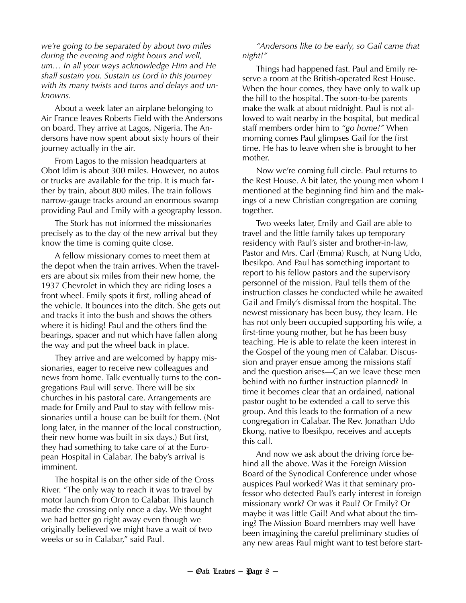*we're going to be separated by about two miles during the evening and night hours and well, um… In all your ways acknowledge Him and He shall sustain you. Sustain us Lord in this journey with its many twists and turns and delays and unknowns.*

About a week later an airplane belonging to Air France leaves Roberts Field with the Andersons on board. They arrive at Lagos, Nigeria. The Andersons have now spent about sixty hours of their journey actually in the air.

From Lagos to the mission headquarters at Obot Idim is about 300 miles. However, no autos or trucks are available for the trip. It is much farther by train, about 800 miles. The train follows narrow-gauge tracks around an enormous swamp providing Paul and Emily with a geography lesson.

The Stork has not informed the missionaries precisely as to the day of the new arrival but they know the time is coming quite close.

A fellow missionary comes to meet them at the depot when the train arrives. When the travelers are about six miles from their new home, the 1937 Chevrolet in which they are riding loses a front wheel. Emily spots it first, rolling ahead of the vehicle. It bounces into the ditch. She gets out and tracks it into the bush and shows the others where it is hiding! Paul and the others find the bearings, spacer and nut which have fallen along the way and put the wheel back in place.

They arrive and are welcomed by happy missionaries, eager to receive new colleagues and news from home. Talk eventually turns to the congregations Paul will serve. There will be six churches in his pastoral care. Arrangements are made for Emily and Paul to stay with fellow missionaries until a house can be built for them. (Not long later, in the manner of the local construction, their new home was built in six days.) But first, they had something to take care of at the European Hospital in Calabar. The baby's arrival is imminent.

The hospital is on the other side of the Cross River. "The only way to reach it was to travel by motor launch from Oron to Calabar. This launch made the crossing only once a day. We thought we had better go right away even though we originally believed we might have a wait of two weeks or so in Calabar," said Paul.

#### *"Andersons like to be early, so Gail came that night!"*

Things had happened fast. Paul and Emily reserve a room at the British-operated Rest House. When the hour comes, they have only to walk up the hill to the hospital. The soon-to-be parents make the walk at about midnight. Paul is not allowed to wait nearby in the hospital, but medical staff members order him to *"go home!"* When morning comes Paul glimpses Gail for the first time. He has to leave when she is brought to her mother.

Now we're coming full circle. Paul returns to the Rest House. A bit later, the young men whom I mentioned at the beginning find him and the makings of a new Christian congregation are coming together.

Two weeks later, Emily and Gail are able to travel and the little family takes up temporary residency with Paul's sister and brother-in-law, Pastor and Mrs. Carl (Emma) Rusch, at Nung Udo, Ibesikpo. And Paul has something important to report to his fellow pastors and the supervisory personnel of the mission. Paul tells them of the instruction classes he conducted while he awaited Gail and Emily's dismissal from the hospital. The newest missionary has been busy, they learn. He has not only been occupied supporting his wife, a first-time young mother, but he has been busy teaching. He is able to relate the keen interest in the Gospel of the young men of Calabar. Discussion and prayer ensue among the missions staff and the question arises—Can we leave these men behind with no further instruction planned? In time it becomes clear that an ordained, national pastor ought to be extended a call to serve this group. And this leads to the formation of a new congregation in Calabar. The Rev. Jonathan Udo Ekong, native to Ibesikpo, receives and accepts this call.

And now we ask about the driving force behind all the above. Was it the Foreign Mission Board of the Synodical Conference under whose auspices Paul worked? Was it that seminary professor who detected Paul's early interest in foreign missionary work? Or was it Paul? Or Emily? Or maybe it was little Gail! And what about the timing? The Mission Board members may well have been imagining the careful preliminary studies of any new areas Paul might want to test before start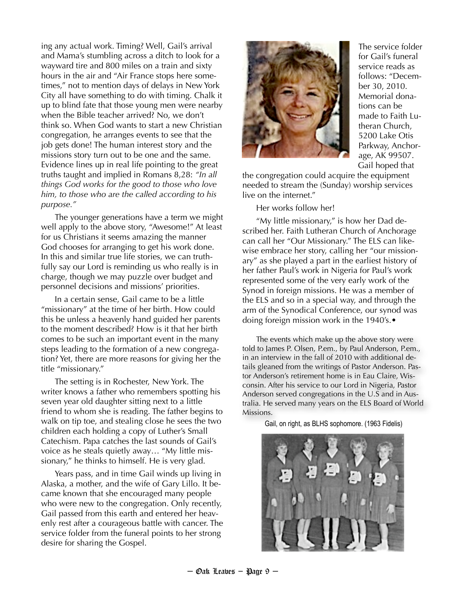ing any actual work. Timing? Well, Gail's arrival and Mama's stumbling across a ditch to look for a wayward tire and 800 miles on a train and sixty hours in the air and "Air France stops here sometimes," not to mention days of delays in New York City all have something to do with timing. Chalk it up to blind fate that those young men were nearby when the Bible teacher arrived? No, we don't think so. When God wants to start a new Christian congregation, he arranges events to see that the job gets done! The human interest story and the missions story turn out to be one and the same. Evidence lines up in real life pointing to the great truths taught and implied in Romans 8,28: *"In all things God works for the good to those who love him, to those who are the called according to his purpose."*

The younger generations have a term we might well apply to the above story, "Awesome!" At least for us Christians it seems amazing the manner God chooses for arranging to get his work done. In this and similar true life stories, we can truthfully say our Lord is reminding us who really is in charge, though we may puzzle over budget and personnel decisions and missions' priorities.

In a certain sense, Gail came to be a little "missionary" at the time of her birth. How could this be unless a heavenly hand guided her parents to the moment described? How is it that her birth comes to be such an important event in the many steps leading to the formation of a new congregation? Yet, there are more reasons for giving her the title "missionary."

The setting is in Rochester, New York. The writer knows a father who remembers spotting his seven year old daughter sitting next to a little friend to whom she is reading. The father begins to walk on tip toe, and stealing close he sees the two children each holding a copy of Luther's Small Catechism. Papa catches the last sounds of Gail's voice as he steals quietly away… "My little missionary," he thinks to himself. He is very glad.

Years pass, and in time Gail winds up living in Alaska, a mother, and the wife of Gary Lillo. It became known that she encouraged many people who were new to the congregation. Only recently, Gail passed from this earth and entered her heavenly rest after a courageous battle with cancer. The service folder from the funeral points to her strong desire for sharing the Gospel.



The service folder for Gail's funeral service reads as follows: "December 30, 2010. Memorial donations can be made to Faith Lutheran Church, 5200 Lake Otis Parkway, Anchorage, AK 99507. Gail hoped that

the congregation could acquire the equipment needed to stream the (Sunday) worship services live on the internet."

Her works follow her!

"My little missionary," is how her Dad described her. Faith Lutheran Church of Anchorage can call her "Our Missionary." The ELS can likewise embrace her story, calling her "our missionary" as she played a part in the earliest history of her father Paul's work in Nigeria for Paul's work represented some of the very early work of the Synod in foreign missions. He was a member of the ELS and so in a special way, and through the arm of the Synodical Conference, our synod was doing foreign mission work in the 1940's.•

The events which make up the above story were told to James P. Olsen, P.em., by Paul Anderson, P.em., in an interview in the fall of 2010 with additional details gleaned from the writings of Pastor Anderson. Pastor Anderson's retirement home is in Eau Claire, Wisconsin. After his service to our Lord in Nigeria, Pastor Anderson served congregations in the U.S and in Australia. He served many years on the ELS Board of World Missions.

Gail, on right, as BLHS sophomore. (1963 Fidelis)

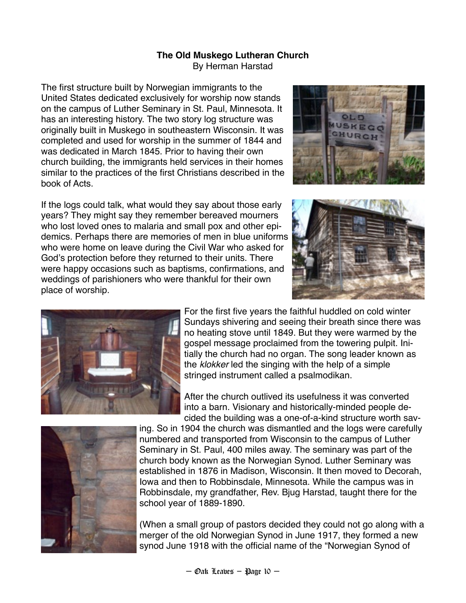#### **The Old Muskego Lutheran Church** By Herman Harstad

The first structure built by Norwegian immigrants to the United States dedicated exclusively for worship now stands on the campus of Luther Seminary in St. Paul, Minnesota. It has an interesting history. The two story log structure was originally built in Muskego in southeastern Wisconsin. It was completed and used for worship in the summer of 1844 and was dedicated in March 1845. Prior to having their own church building, the immigrants held services in their homes similar to the practices of the first Christians described in the book of Acts.

If the logs could talk, what would they say about those early years? They might say they remember bereaved mourners who lost loved ones to malaria and small pox and other epidemics. Perhaps there are memories of men in blue uniforms who were home on leave during the Civil War who asked for God's protection before they returned to their units. There were happy occasions such as baptisms, confirmations, and weddings of parishioners who were thankful for their own place of worship.







For the first five years the faithful huddled on cold winter Sundays shivering and seeing their breath since there was no heating stove until 1849. But they were warmed by the gospel message proclaimed from the towering pulpit. Initially the church had no organ. The song leader known as the *klokker* led the singing with the help of a simple stringed instrument called a psalmodikan.

After the church outlived its usefulness it was converted into a barn. Visionary and historically-minded people decided the building was a one-of-a-kind structure worth sav-



ing. So in 1904 the church was dismantled and the logs were carefully numbered and transported from Wisconsin to the campus of Luther Seminary in St. Paul, 400 miles away. The seminary was part of the church body known as the Norwegian Synod. Luther Seminary was established in 1876 in Madison, Wisconsin. It then moved to Decorah, Iowa and then to Robbinsdale, Minnesota. While the campus was in Robbinsdale, my grandfather, Rev. Bjug Harstad, taught there for the school year of 1889-1890.

(When a small group of pastors decided they could not go along with a merger of the old Norwegian Synod in June 1917, they formed a new synod June 1918 with the official name of the "Norwegian Synod of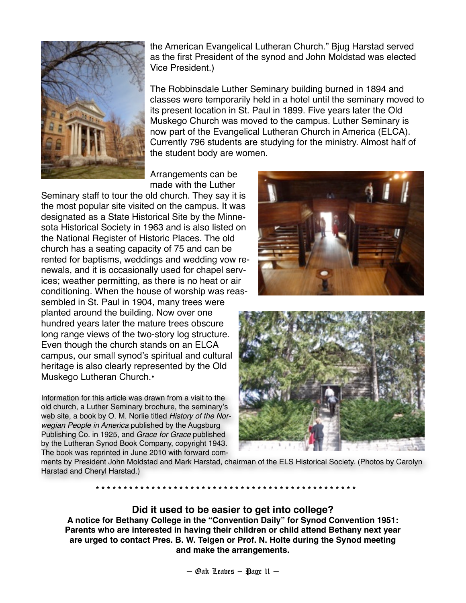

the American Evangelical Lutheran Church." Bjug Harstad served as the first President of the synod and John Moldstad was elected Vice President.)

The Robbinsdale Luther Seminary building burned in 1894 and classes were temporarily held in a hotel until the seminary moved to its present location in St. Paul in 1899. Five years later the Old Muskego Church was moved to the campus. Luther Seminary is now part of the Evangelical Lutheran Church in America (ELCA). Currently 796 students are studying for the ministry. Almost half of the student body are women.

Arrangements can be made with the Luther

Seminary staff to tour the old church. They say it is the most popular site visited on the campus. It was designated as a State Historical Site by the Minnesota Historical Society in 1963 and is also listed on the National Register of Historic Places. The old church has a seating capacity of 75 and can be rented for baptisms, weddings and wedding vow renewals, and it is occasionally used for chapel services; weather permitting, as there is no heat or air conditioning. When the house of worship was reassembled in St. Paul in 1904, many trees were planted around the building. Now over one hundred years later the mature trees obscure long range views of the two-story log structure. Even though the church stands on an ELCA campus, our small synod's spiritual and cultural heritage is also clearly represented by the Old Muskego Lutheran Church.•

Information for this article was drawn from a visit to the old church, a Luther Seminary brochure, the seminary's web site, a book by O. M. Norlie titled *History of the Norwegian People in America* published by the Augsburg Publishing Co. in 1925, and *Grace for Grace* published by the Lutheran Synod Book Company, copyright 1943. The book was reprinted in June 2010 with forward com-





ments by President John Moldstad and Mark Harstad, chairman of the ELS Historical Society. (Photos by Carolyn Harstad and Cheryl Harstad.)

**! ! \* \* \* \* \* \* \* \* \* \* \* \* \* \* \* \* \* \* \* \* \* \* \* \* \* \* \* \* \* \* \* \* \* \* \* \* \* \* \* \* \* \* \* \* \* \* \***

## **Did it used to be easier to get into college?**

**A notice for Bethany College in the "Convention Daily" for Synod Convention 1951: Parents who are interested in having their children or child attend Bethany next year are urged to contact Pres. B. W. Teigen or Prof. N. Holte during the Synod meeting and make the arrangements.**